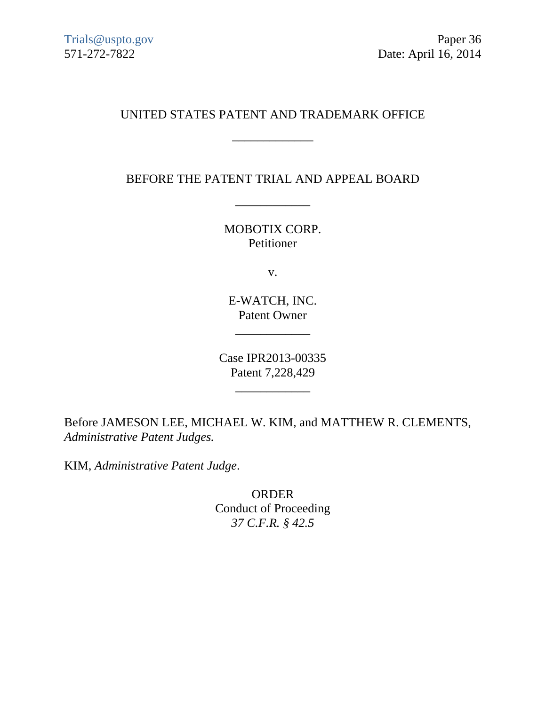# UNITED STATES PATENT AND TRADEMARK OFFICE

\_\_\_\_\_\_\_\_\_\_\_\_\_

BEFORE THE PATENT TRIAL AND APPEAL BOARD

\_\_\_\_\_\_\_\_\_\_\_\_

MOBOTIX CORP. Petitioner

v.

E-WATCH, INC. Patent Owner

\_\_\_\_\_\_\_\_\_\_\_\_

Case IPR2013-00335 Patent 7,228,429

\_\_\_\_\_\_\_\_\_\_\_\_

Before JAMESON LEE, MICHAEL W. KIM, and MATTHEW R. CLEMENTS, *Administrative Patent Judges.* 

KIM, *Administrative Patent Judge*.

ORDER Conduct of Proceeding *37 C.F.R. § 42.5*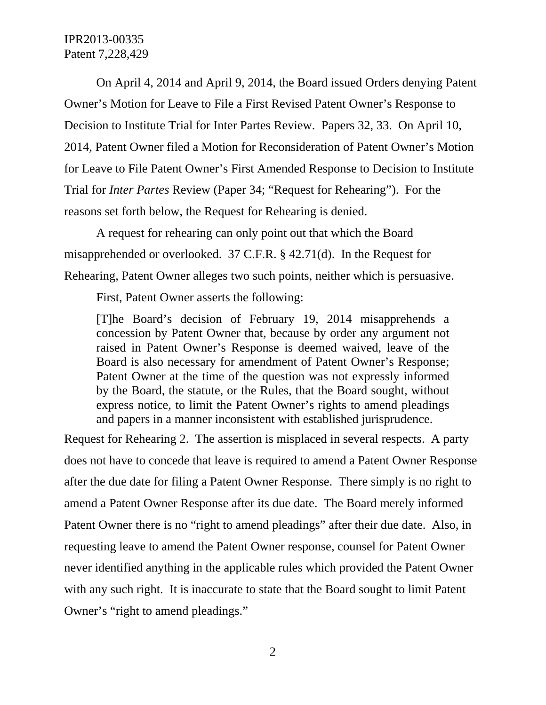On April 4, 2014 and April 9, 2014, the Board issued Orders denying Patent Owner's Motion for Leave to File a First Revised Patent Owner's Response to Decision to Institute Trial for Inter Partes Review. Papers 32, 33. On April 10, 2014, Patent Owner filed a Motion for Reconsideration of Patent Owner's Motion for Leave to File Patent Owner's First Amended Response to Decision to Institute Trial for *Inter Partes* Review (Paper 34; "Request for Rehearing"). For the reasons set forth below, the Request for Rehearing is denied.

A request for rehearing can only point out that which the Board misapprehended or overlooked. 37 C.F.R. § 42.71(d). In the Request for Rehearing, Patent Owner alleges two such points, neither which is persuasive.

First, Patent Owner asserts the following:

[T]he Board's decision of February 19, 2014 misapprehends a concession by Patent Owner that, because by order any argument not raised in Patent Owner's Response is deemed waived, leave of the Board is also necessary for amendment of Patent Owner's Response; Patent Owner at the time of the question was not expressly informed by the Board, the statute, or the Rules, that the Board sought, without express notice, to limit the Patent Owner's rights to amend pleadings and papers in a manner inconsistent with established jurisprudence.

Request for Rehearing 2. The assertion is misplaced in several respects. A party does not have to concede that leave is required to amend a Patent Owner Response after the due date for filing a Patent Owner Response. There simply is no right to amend a Patent Owner Response after its due date. The Board merely informed Patent Owner there is no "right to amend pleadings" after their due date. Also, in requesting leave to amend the Patent Owner response, counsel for Patent Owner never identified anything in the applicable rules which provided the Patent Owner with any such right. It is inaccurate to state that the Board sought to limit Patent Owner's "right to amend pleadings."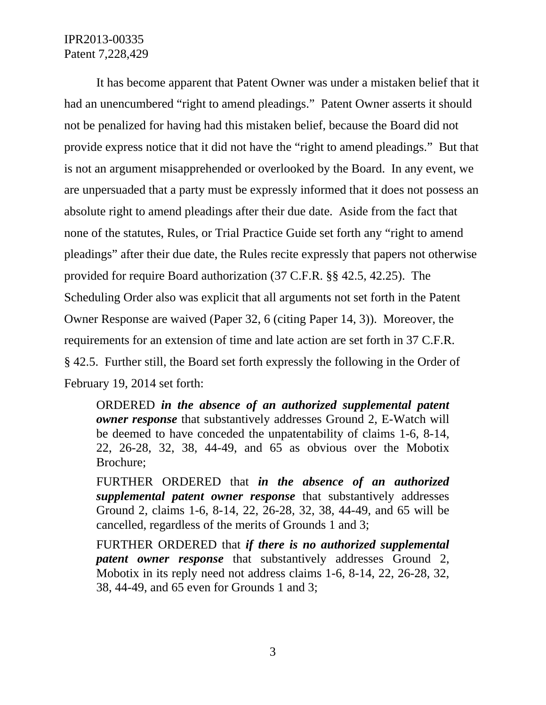It has become apparent that Patent Owner was under a mistaken belief that it had an unencumbered "right to amend pleadings." Patent Owner asserts it should not be penalized for having had this mistaken belief, because the Board did not provide express notice that it did not have the "right to amend pleadings." But that is not an argument misapprehended or overlooked by the Board. In any event, we are unpersuaded that a party must be expressly informed that it does not possess an absolute right to amend pleadings after their due date. Aside from the fact that none of the statutes, Rules, or Trial Practice Guide set forth any "right to amend pleadings" after their due date, the Rules recite expressly that papers not otherwise provided for require Board authorization (37 C.F.R. §§ 42.5, 42.25). The Scheduling Order also was explicit that all arguments not set forth in the Patent Owner Response are waived (Paper 32, 6 (citing Paper 14, 3)). Moreover, the requirements for an extension of time and late action are set forth in 37 C.F.R. § 42.5. Further still, the Board set forth expressly the following in the Order of February 19, 2014 set forth:

ORDERED *in the absence of an authorized supplemental patent owner response* that substantively addresses Ground 2, E-Watch will be deemed to have conceded the unpatentability of claims 1-6, 8-14, 22, 26-28, 32, 38, 44-49, and 65 as obvious over the Mobotix Brochure;

FURTHER ORDERED that *in the absence of an authorized supplemental patent owner response* that substantively addresses Ground 2, claims 1-6, 8-14, 22, 26-28, 32, 38, 44-49, and 65 will be cancelled, regardless of the merits of Grounds 1 and 3;

FURTHER ORDERED that *if there is no authorized supplemental patent owner response* that substantively addresses Ground 2, Mobotix in its reply need not address claims 1-6, 8-14, 22, 26-28, 32, 38, 44-49, and 65 even for Grounds 1 and 3;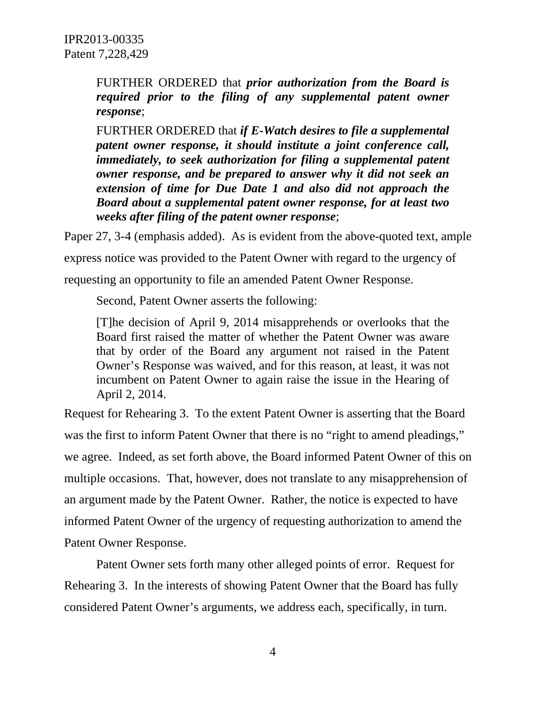FURTHER ORDERED that *prior authorization from the Board is required prior to the filing of any supplemental patent owner response*;

FURTHER ORDERED that *if E-Watch desires to file a supplemental patent owner response, it should institute a joint conference call, immediately, to seek authorization for filing a supplemental patent owner response, and be prepared to answer why it did not seek an extension of time for Due Date 1 and also did not approach the Board about a supplemental patent owner response, for at least two weeks after filing of the patent owner response*;

Paper 27, 3-4 (emphasis added). As is evident from the above-quoted text, ample

express notice was provided to the Patent Owner with regard to the urgency of

requesting an opportunity to file an amended Patent Owner Response.

Second, Patent Owner asserts the following:

[T]he decision of April 9, 2014 misapprehends or overlooks that the Board first raised the matter of whether the Patent Owner was aware that by order of the Board any argument not raised in the Patent Owner's Response was waived, and for this reason, at least, it was not incumbent on Patent Owner to again raise the issue in the Hearing of April 2, 2014.

Request for Rehearing 3. To the extent Patent Owner is asserting that the Board was the first to inform Patent Owner that there is no "right to amend pleadings," we agree. Indeed, as set forth above, the Board informed Patent Owner of this on multiple occasions. That, however, does not translate to any misapprehension of an argument made by the Patent Owner. Rather, the notice is expected to have informed Patent Owner of the urgency of requesting authorization to amend the Patent Owner Response.

Patent Owner sets forth many other alleged points of error. Request for Rehearing 3. In the interests of showing Patent Owner that the Board has fully considered Patent Owner's arguments, we address each, specifically, in turn.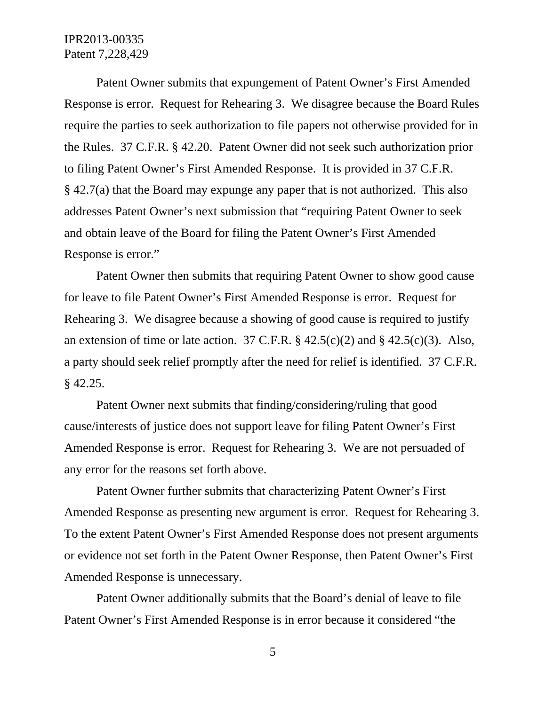Patent Owner submits that expungement of Patent Owner's First Amended Response is error. Request for Rehearing 3. We disagree because the Board Rules require the parties to seek authorization to file papers not otherwise provided for in the Rules. 37 C.F.R. § 42.20. Patent Owner did not seek such authorization prior to filing Patent Owner's First Amended Response. It is provided in 37 C.F.R. § 42.7(a) that the Board may expunge any paper that is not authorized. This also addresses Patent Owner's next submission that "requiring Patent Owner to seek and obtain leave of the Board for filing the Patent Owner's First Amended Response is error."

Patent Owner then submits that requiring Patent Owner to show good cause for leave to file Patent Owner's First Amended Response is error. Request for Rehearing 3. We disagree because a showing of good cause is required to justify an extension of time or late action. 37 C.F.R.  $\S$  42.5(c)(2) and  $\S$  42.5(c)(3). Also, a party should seek relief promptly after the need for relief is identified. 37 C.F.R. § 42.25.

Patent Owner next submits that finding/considering/ruling that good cause/interests of justice does not support leave for filing Patent Owner's First Amended Response is error. Request for Rehearing 3. We are not persuaded of any error for the reasons set forth above.

Patent Owner further submits that characterizing Patent Owner's First Amended Response as presenting new argument is error. Request for Rehearing 3. To the extent Patent Owner's First Amended Response does not present arguments or evidence not set forth in the Patent Owner Response, then Patent Owner's First Amended Response is unnecessary.

Patent Owner additionally submits that the Board's denial of leave to file Patent Owner's First Amended Response is in error because it considered "the

5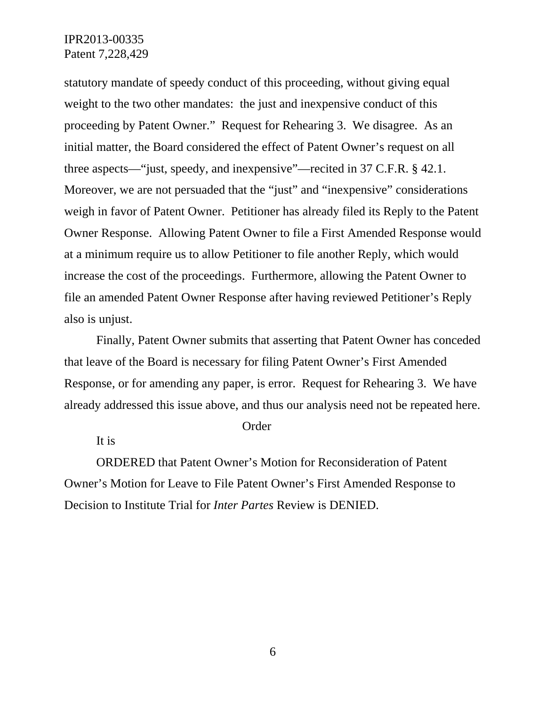statutory mandate of speedy conduct of this proceeding, without giving equal weight to the two other mandates: the just and inexpensive conduct of this proceeding by Patent Owner." Request for Rehearing 3. We disagree. As an initial matter, the Board considered the effect of Patent Owner's request on all three aspects—"just, speedy, and inexpensive"—recited in 37 C.F.R. § 42.1. Moreover, we are not persuaded that the "just" and "inexpensive" considerations weigh in favor of Patent Owner. Petitioner has already filed its Reply to the Patent Owner Response. Allowing Patent Owner to file a First Amended Response would at a minimum require us to allow Petitioner to file another Reply, which would increase the cost of the proceedings. Furthermore, allowing the Patent Owner to file an amended Patent Owner Response after having reviewed Petitioner's Reply also is unjust.

Finally, Patent Owner submits that asserting that Patent Owner has conceded that leave of the Board is necessary for filing Patent Owner's First Amended Response, or for amending any paper, is error. Request for Rehearing 3. We have already addressed this issue above, and thus our analysis need not be repeated here.

#### Order

It is

ORDERED that Patent Owner's Motion for Reconsideration of Patent Owner's Motion for Leave to File Patent Owner's First Amended Response to Decision to Institute Trial for *Inter Partes* Review is DENIED.

6